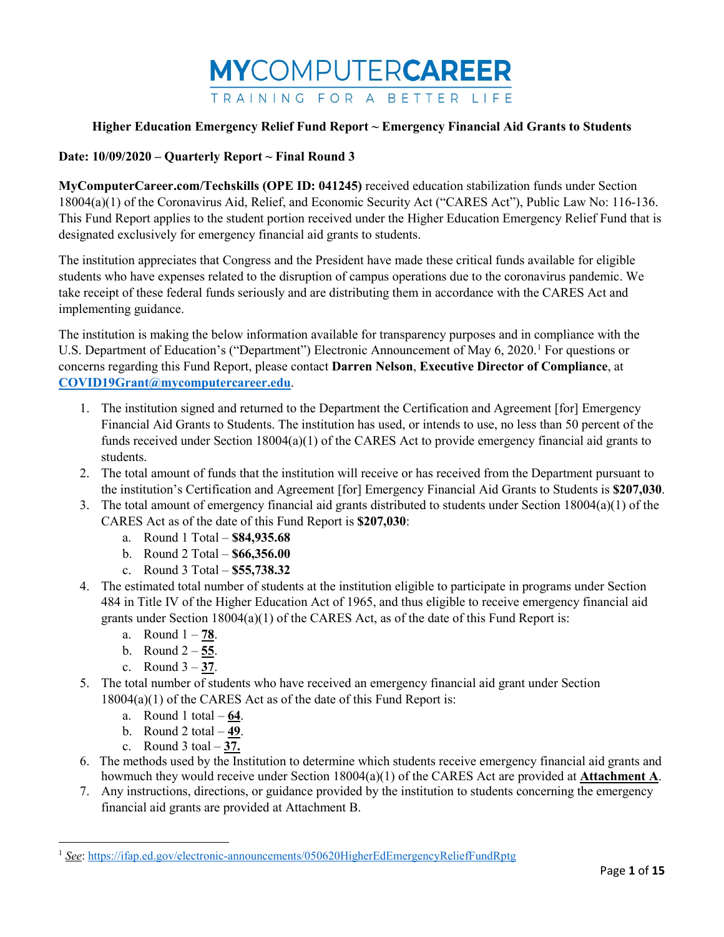

## **Date: 10/09/2020 – Quarterly Report ~ Final Round 3**

**MyComputerCareer.com/Techskills (OPE ID: 041245)** received education stabilization funds under Section 18004(a)(1) of the Coronavirus Aid, Relief, and Economic Security Act ("CARES Act"), Public Law No: 116-136. This Fund Report applies to the student portion received under the Higher Education Emergency Relief Fund that is designated exclusively for emergency financial aid grants to students.

The institution appreciates that Congress and the President have made these critical funds available for eligible students who have expenses related to the disruption of campus operations due to the coronavirus pandemic. We take receipt of these federal funds seriously and are distributing them in accordance with the CARES Act and implementing guidance.

The institution is making the below information available for transparency purposes and in compliance with the U.S. Department of Education's ("Department") Electronic Announcement of May 6, 2020.<sup>[1](#page-0-0)</sup> For questions or concerns regarding this Fund Report, please contact **Darren Nelson**, **Executive Director of Compliance**, at **[COVID19Grant@mycomputercareer.edu](mailto:COVID19Grant@mycomputercareer.edu)**.

- 1. The institution signed and returned to the Department the Certification and Agreement [for] Emergency Financial Aid Grants to Students. The institution has used, or intends to use, no less than 50 percent of the funds received under Section 18004(a)(1) of the CARES Act to provide emergency financial aid grants to students.
- 2. The total amount of funds that the institution will receive or has received from the Department pursuant to the institution's Certification and Agreement [for] Emergency Financial Aid Grants to Students is **\$207,030**.
- 3. The total amount of emergency financial aid grants distributed to students under Section 18004(a)(1) of the
	- CARES Act as of the date of this Fund Report is **\$207,030**:
		- a. Round 1 Total **\$84,935.68**
		- b. Round 2 Total **\$66,356.00**
		- c. Round 3 Total **\$55,738.32**
- 4. The estimated total number of students at the institution eligible to participate in programs under Section 484 in Title IV of the Higher Education Act of 1965, and thus eligible to receive emergency financial aid grants under Section 18004(a)(1) of the CARES Act, as of the date of this Fund Report is:
	- a. Round 1 **78**.
	- b. Round 2 **55**.
	- c. Round 3 **37**.
- 5. The total number of students who have received an emergency financial aid grant under Section 18004(a)(1) of the CARES Act as of the date of this Fund Report is:
	- a. Round 1 total **64**.
	- b. Round 2 total **49**.
	- c. Round 3 toal **37.**

l

- 6. The methods used by the Institution to determine which students receive emergency financial aid grants and howmuch they would receive under Section 18004(a)(1) of the CARES Act are provided at **Attachment A**.
- 7. Any instructions, directions, or guidance provided by the institution to students concerning the emergency financial aid grants are provided at Attachment B.

<span id="page-0-0"></span><sup>1</sup> *See*[: https://ifap.ed.gov/electronic-announcements/050620HigherEdEmergencyReliefFundRptg](https://ifap.ed.gov/electronic-announcements/050620HigherEdEmergencyReliefFundRptg)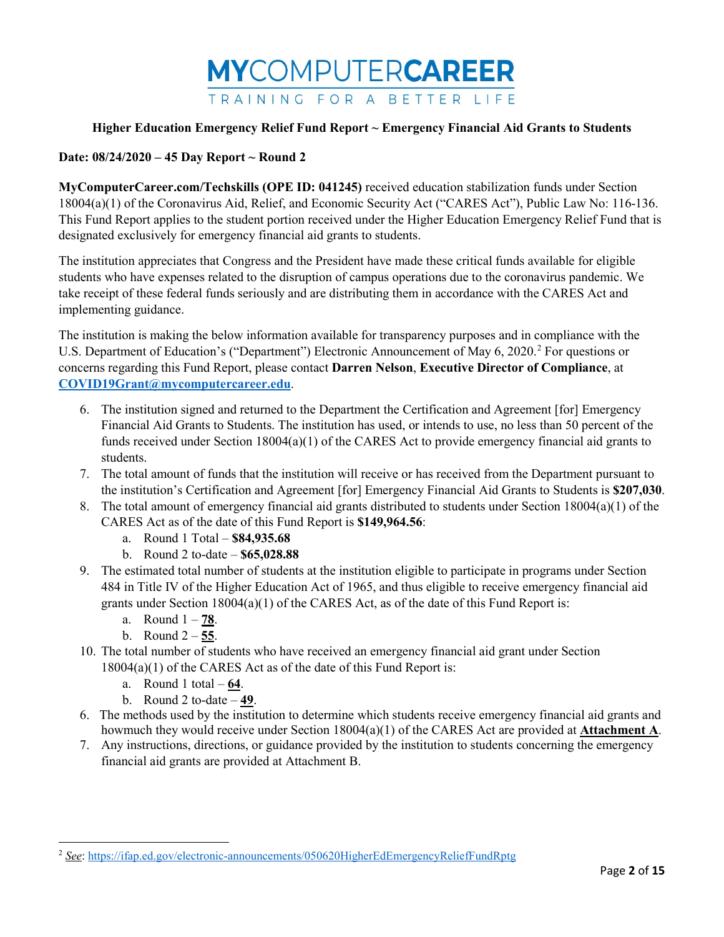

## **Date: 08/24/2020 – 45 Day Report ~ Round 2**

**MyComputerCareer.com/Techskills (OPE ID: 041245)** received education stabilization funds under Section 18004(a)(1) of the Coronavirus Aid, Relief, and Economic Security Act ("CARES Act"), Public Law No: 116-136. This Fund Report applies to the student portion received under the Higher Education Emergency Relief Fund that is designated exclusively for emergency financial aid grants to students.

The institution appreciates that Congress and the President have made these critical funds available for eligible students who have expenses related to the disruption of campus operations due to the coronavirus pandemic. We take receipt of these federal funds seriously and are distributing them in accordance with the CARES Act and implementing guidance.

The institution is making the below information available for transparency purposes and in compliance with the U.S. Department of Education's ("Department") Electronic Announcement of May 6, [2](#page-1-0)020.<sup>2</sup> For questions or concerns regarding this Fund Report, please contact **Darren Nelson**, **Executive Director of Compliance**, at **[COVID19Grant@mycomputercareer.edu](mailto:COVID19Grant@mycomputercareer.edu)**.

- 6. The institution signed and returned to the Department the Certification and Agreement [for] Emergency Financial Aid Grants to Students. The institution has used, or intends to use, no less than 50 percent of the funds received under Section 18004(a)(1) of the CARES Act to provide emergency financial aid grants to students.
- 7. The total amount of funds that the institution will receive or has received from the Department pursuant to the institution's Certification and Agreement [for] Emergency Financial Aid Grants to Students is **\$207,030**.
- 8. The total amount of emergency financial aid grants distributed to students under Section 18004(a)(1) of the CARES Act as of the date of this Fund Report is **\$149,964.56**:
	- a. Round 1 Total **\$84,935.68**
	- b. Round 2 to-date **\$65,028.88**
- 9. The estimated total number of students at the institution eligible to participate in programs under Section 484 in Title IV of the Higher Education Act of 1965, and thus eligible to receive emergency financial aid grants under Section  $18004(a)(1)$  of the CARES Act, as of the date of this Fund Report is:
	- a. Round 1 **78**.
	- b. Round 2 **55**.

l

- 10. The total number of students who have received an emergency financial aid grant under Section 18004(a)(1) of the CARES Act as of the date of this Fund Report is:
	- a. Round 1 total **64**.
	- b. Round 2 to-date **49**.
- 6. The methods used by the institution to determine which students receive emergency financial aid grants and howmuch they would receive under Section 18004(a)(1) of the CARES Act are provided at **Attachment A**.
- 7. Any instructions, directions, or guidance provided by the institution to students concerning the emergency financial aid grants are provided at Attachment B.

<span id="page-1-0"></span><sup>2</sup> *See*[: https://ifap.ed.gov/electronic-announcements/050620HigherEdEmergencyReliefFundRptg](https://ifap.ed.gov/electronic-announcements/050620HigherEdEmergencyReliefFundRptg)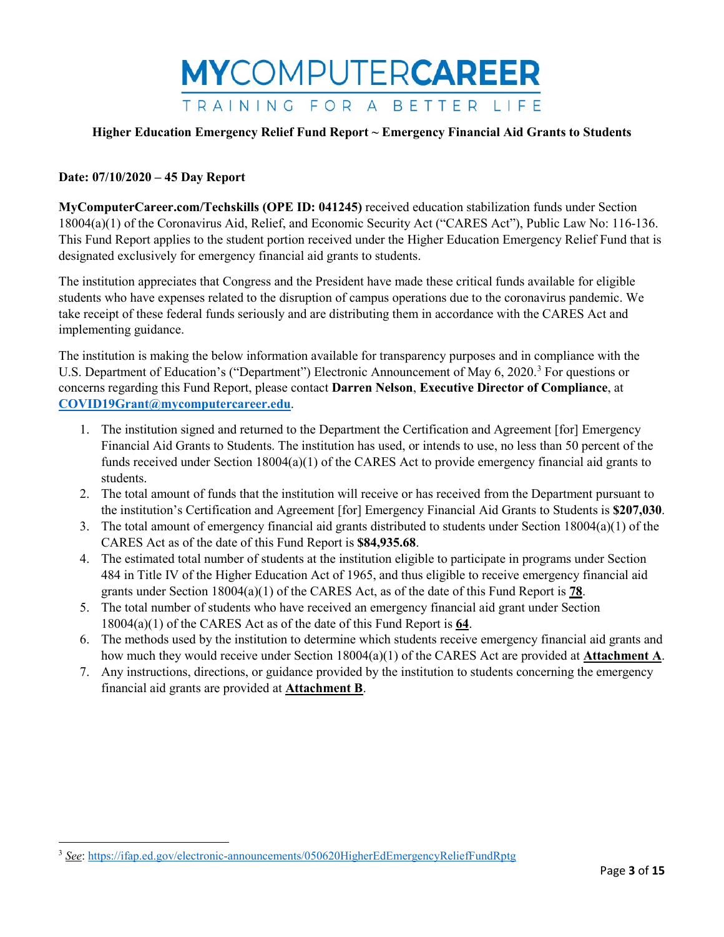

### **Date: 07/10/2020 – 45 Day Report**

l

**MyComputerCareer.com/Techskills (OPE ID: 041245)** received education stabilization funds under Section 18004(a)(1) of the Coronavirus Aid, Relief, and Economic Security Act ("CARES Act"), Public Law No: 116-136. This Fund Report applies to the student portion received under the Higher Education Emergency Relief Fund that is designated exclusively for emergency financial aid grants to students.

The institution appreciates that Congress and the President have made these critical funds available for eligible students who have expenses related to the disruption of campus operations due to the coronavirus pandemic. We take receipt of these federal funds seriously and are distributing them in accordance with the CARES Act and implementing guidance.

The institution is making the below information available for transparency purposes and in compliance with the U.S. Department of Education's ("Department") Electronic Announcement of May 6, 2020.<sup>[3](#page-2-0)</sup> For questions or concerns regarding this Fund Report, please contact **Darren Nelson**, **Executive Director of Compliance**, at **[COVID19Grant@mycomputercareer.edu](mailto:COVID19Grant@mycomputercareer.edu)**.

- 1. The institution signed and returned to the Department the Certification and Agreement [for] Emergency Financial Aid Grants to Students. The institution has used, or intends to use, no less than 50 percent of the funds received under Section 18004(a)(1) of the CARES Act to provide emergency financial aid grants to students.
- 2. The total amount of funds that the institution will receive or has received from the Department pursuant to the institution's Certification and Agreement [for] Emergency Financial Aid Grants to Students is **\$207,030**.
- 3. The total amount of emergency financial aid grants distributed to students under Section 18004(a)(1) of the CARES Act as of the date of this Fund Report is **\$84,935.68**.
- 4. The estimated total number of students at the institution eligible to participate in programs under Section 484 in Title IV of the Higher Education Act of 1965, and thus eligible to receive emergency financial aid grants under Section 18004(a)(1) of the CARES Act, as of the date of this Fund Report is **78**.
- 5. The total number of students who have received an emergency financial aid grant under Section 18004(a)(1) of the CARES Act as of the date of this Fund Report is **64**.
- 6. The methods used by the institution to determine which students receive emergency financial aid grants and how much they would receive under Section 18004(a)(1) of the CARES Act are provided at **Attachment A**.
- 7. Any instructions, directions, or guidance provided by the institution to students concerning the emergency financial aid grants are provided at **Attachment B**.

<span id="page-2-0"></span><sup>&</sup>lt;sup>3</sup> See[: https://ifap.ed.gov/electronic-announcements/050620HigherEdEmergencyReliefFundRptg](https://ifap.ed.gov/electronic-announcements/050620HigherEdEmergencyReliefFundRptg)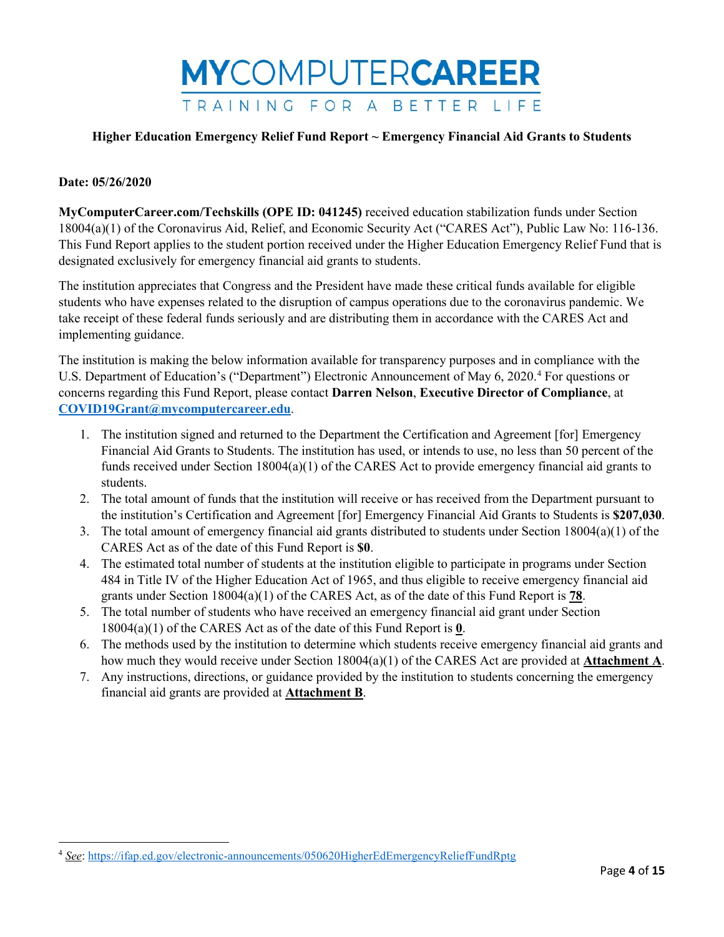

#### **Date: 05/26/2020**

l

**MyComputerCareer.com/Techskills (OPE ID: 041245)** received education stabilization funds under Section 18004(a)(1) of the Coronavirus Aid, Relief, and Economic Security Act ("CARES Act"), Public Law No: 116-136. This Fund Report applies to the student portion received under the Higher Education Emergency Relief Fund that is designated exclusively for emergency financial aid grants to students.

The institution appreciates that Congress and the President have made these critical funds available for eligible students who have expenses related to the disruption of campus operations due to the coronavirus pandemic. We take receipt of these federal funds seriously and are distributing them in accordance with the CARES Act and implementing guidance.

The institution is making the below information available for transparency purposes and in compliance with the U.S. Department of Education's ("Department") Electronic Announcement of May 6, 2020. [4](#page-3-0) For questions or concerns regarding this Fund Report, please contact **Darren Nelson**, **Executive Director of Compliance**, at **[COVID19Grant@mycomputercareer.edu](mailto:COVID19Grant@mycomputercareer.edu)**.

- 1. The institution signed and returned to the Department the Certification and Agreement [for] Emergency Financial Aid Grants to Students. The institution has used, or intends to use, no less than 50 percent of the funds received under Section 18004(a)(1) of the CARES Act to provide emergency financial aid grants to students.
- 2. The total amount of funds that the institution will receive or has received from the Department pursuant to the institution's Certification and Agreement [for] Emergency Financial Aid Grants to Students is **\$207,030**.
- 3. The total amount of emergency financial aid grants distributed to students under Section 18004(a)(1) of the CARES Act as of the date of this Fund Report is **\$0**.
- 4. The estimated total number of students at the institution eligible to participate in programs under Section 484 in Title IV of the Higher Education Act of 1965, and thus eligible to receive emergency financial aid grants under Section 18004(a)(1) of the CARES Act, as of the date of this Fund Report is **78**.
- 5. The total number of students who have received an emergency financial aid grant under Section 18004(a)(1) of the CARES Act as of the date of this Fund Report is **0**.
- 6. The methods used by the institution to determine which students receive emergency financial aid grants and how much they would receive under Section 18004(a)(1) of the CARES Act are provided at **Attachment A**.
- 7. Any instructions, directions, or guidance provided by the institution to students concerning the emergency financial aid grants are provided at **Attachment B**.

<span id="page-3-0"></span><sup>4</sup> *See*[: https://ifap.ed.gov/electronic-announcements/050620HigherEdEmergencyReliefFundRptg](https://ifap.ed.gov/electronic-announcements/050620HigherEdEmergencyReliefFundRptg)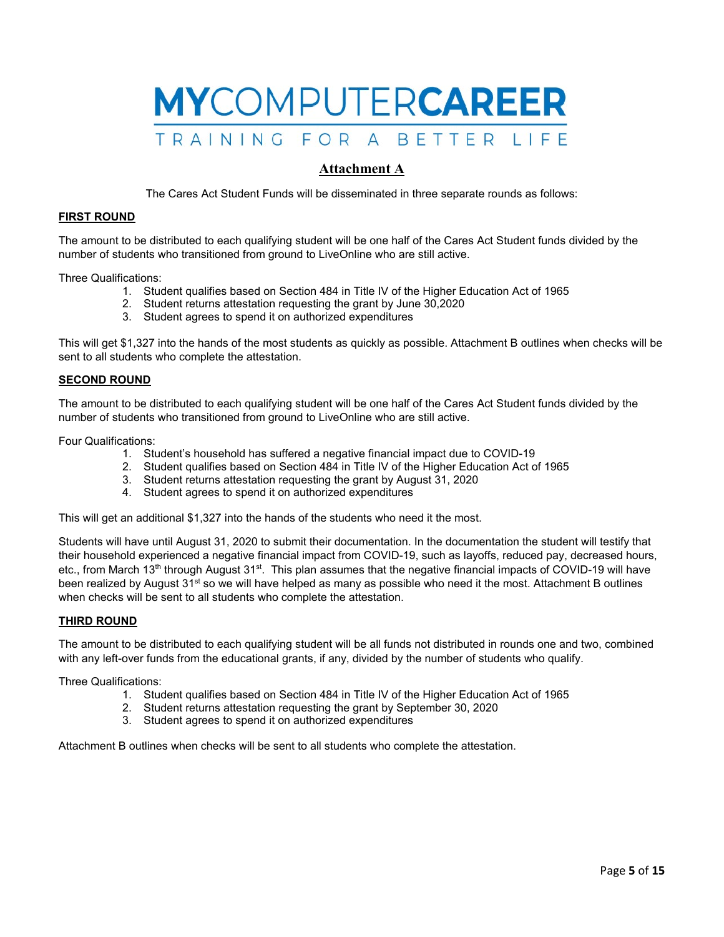

## **Attachment A**

The Cares Act Student Funds will be disseminated in three separate rounds as follows:

#### **FIRST ROUND**

The amount to be distributed to each qualifying student will be one half of the Cares Act Student funds divided by the number of students who transitioned from ground to LiveOnline who are still active.

Three Qualifications:

- 1. Student qualifies based on Section 484 in Title IV of the Higher Education Act of 1965
- 2. Student returns attestation requesting the grant by June 30,2020
- 3. Student agrees to spend it on authorized expenditures

This will get \$1,327 into the hands of the most students as quickly as possible. Attachment B outlines when checks will be sent to all students who complete the attestation.

#### **SECOND ROUND**

The amount to be distributed to each qualifying student will be one half of the Cares Act Student funds divided by the number of students who transitioned from ground to LiveOnline who are still active.

Four Qualifications:

- 1. Student's household has suffered a negative financial impact due to COVID-19
- 2. Student qualifies based on Section 484 in Title IV of the Higher Education Act of 1965
- 3. Student returns attestation requesting the grant by August 31, 2020
- 4. Student agrees to spend it on authorized expenditures

This will get an additional \$1,327 into the hands of the students who need it the most.

Students will have until August 31, 2020 to submit their documentation. In the documentation the student will testify that their household experienced a negative financial impact from COVID-19, such as layoffs, reduced pay, decreased hours, etc., from March 13<sup>th</sup> through August 31<sup>st</sup>. This plan assumes that the negative financial impacts of COVID-19 will have been realized by August 31<sup>st</sup> so we will have helped as many as possible who need it the most. Attachment B outlines when checks will be sent to all students who complete the attestation.

#### **THIRD ROUND**

The amount to be distributed to each qualifying student will be all funds not distributed in rounds one and two, combined with any left-over funds from the educational grants, if any, divided by the number of students who qualify.

Three Qualifications:

- 1. Student qualifies based on Section 484 in Title IV of the Higher Education Act of 1965
- 2. Student returns attestation requesting the grant by September 30, 2020
- 3. Student agrees to spend it on authorized expenditures

Attachment B outlines when checks will be sent to all students who complete the attestation.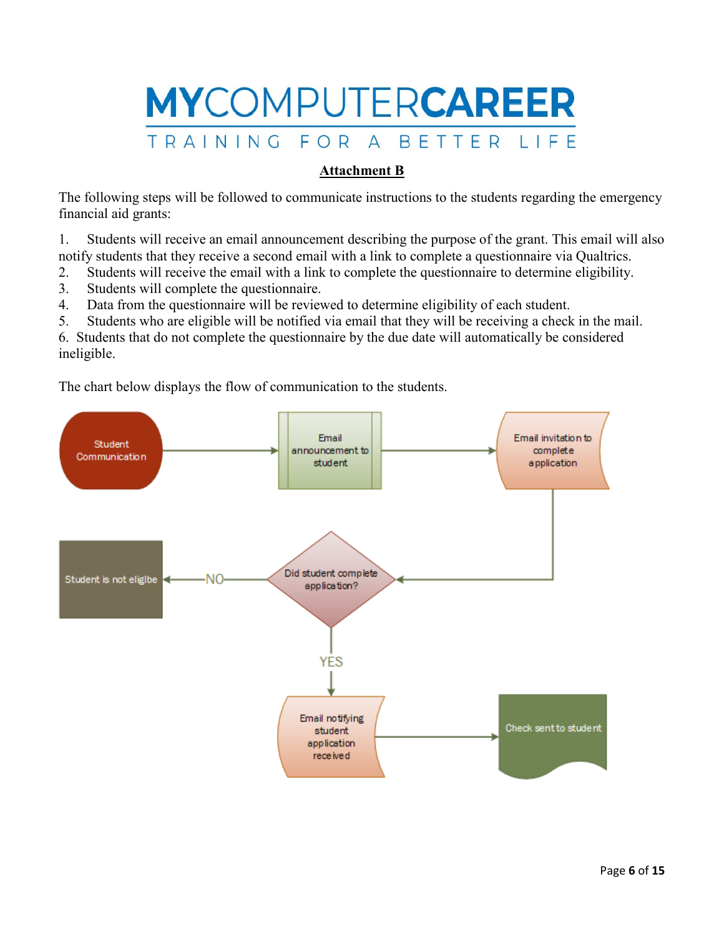

## **Attachment B**

The following steps will be followed to communicate instructions to the students regarding the emergency financial aid grants:

1. Students will receive an email announcement describing the purpose of the grant. This email will also notify students that they receive a second email with a link to complete a questionnaire via Qualtrics.

- 2. Students will receive the email with a link to complete the questionnaire to determine eligibility.
- 3. Students will complete the questionnaire.
- 4. Data from the questionnaire will be reviewed to determine eligibility of each student.
- 5. Students who are eligible will be notified via email that they will be receiving a check in the mail.

6. Students that do not complete the questionnaire by the due date will automatically be considered ineligible.

The chart below displays the flow of communication to the students.

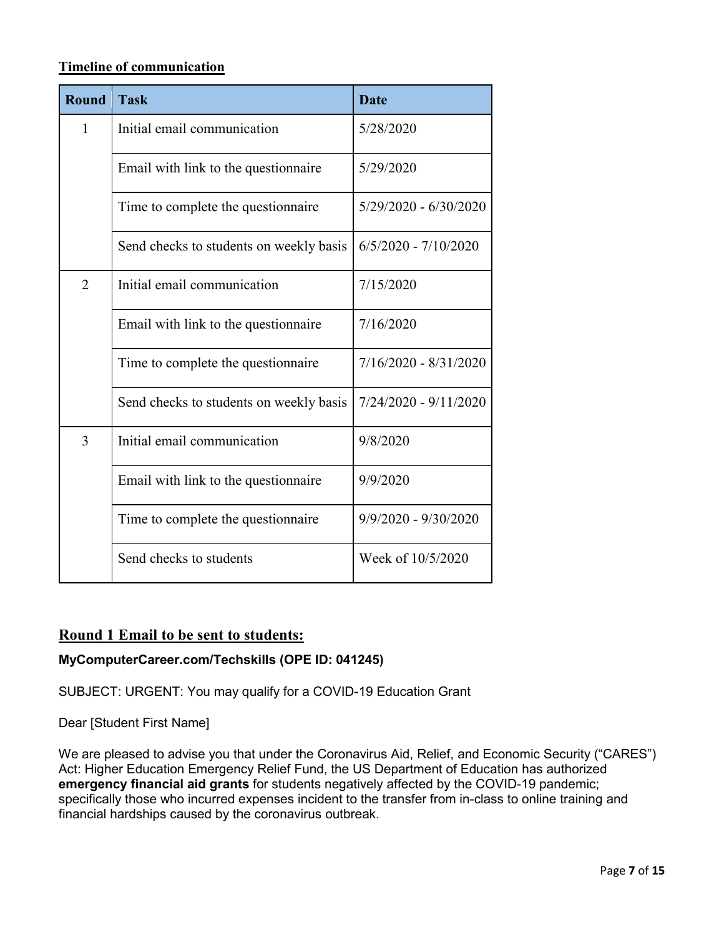## **Timeline of communication**

| <b>Round</b>   | <b>Task</b>                             | <b>Date</b>             |
|----------------|-----------------------------------------|-------------------------|
| $\mathbf{1}$   | Initial email communication             | 5/28/2020               |
|                | Email with link to the questionnaire    | 5/29/2020               |
|                | Time to complete the questionnaire      | $5/29/2020 - 6/30/2020$ |
|                | Send checks to students on weekly basis | $6/5/2020 - 7/10/2020$  |
| $\overline{2}$ | Initial email communication             | 7/15/2020               |
|                | Email with link to the questionnaire    | 7/16/2020               |
|                | Time to complete the questionnaire      | $7/16/2020 - 8/31/2020$ |
|                | Send checks to students on weekly basis | $7/24/2020 - 9/11/2020$ |
| 3              | Initial email communication             | 9/8/2020                |
|                | Email with link to the questionnaire    | 9/9/2020                |
|                | Time to complete the question aire      | $9/9/2020 - 9/30/2020$  |
|                | Send checks to students                 | Week of 10/5/2020       |

## **Round 1 Email to be sent to students:**

## **MyComputerCareer.com/Techskills (OPE ID: 041245)**

SUBJECT: URGENT: You may qualify for a COVID-19 Education Grant

Dear [Student First Name]

We are pleased to advise you that under the Coronavirus Aid, Relief, and Economic Security ("CARES") Act: Higher Education Emergency Relief Fund, the US Department of Education has authorized **emergency financial aid grants** for students negatively affected by the COVID-19 pandemic; specifically those who incurred expenses incident to the transfer from in-class to online training and financial hardships caused by the coronavirus outbreak.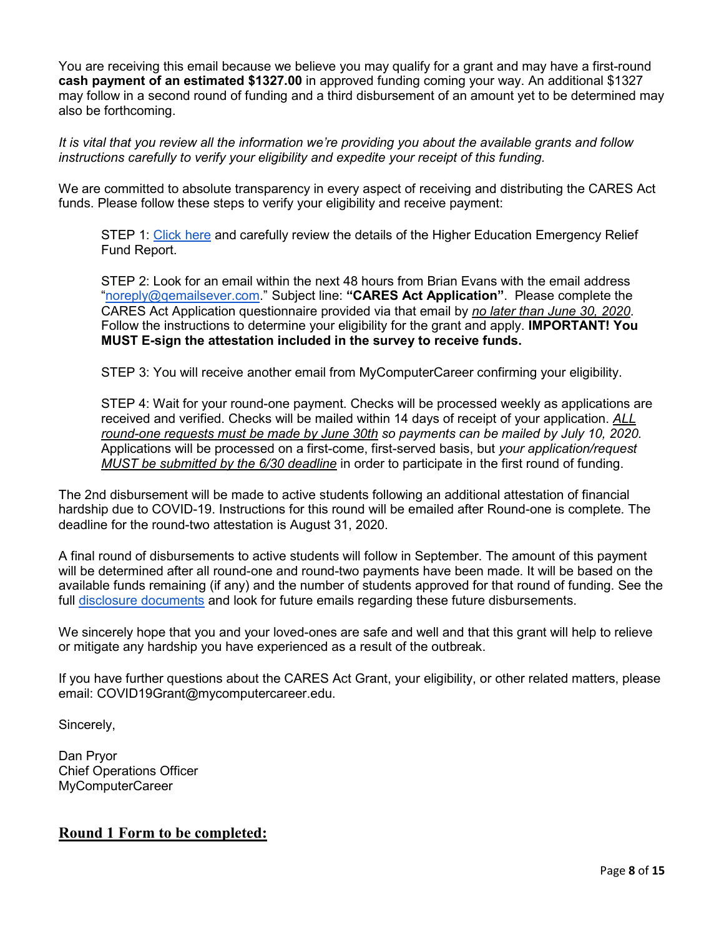You are receiving this email because we believe you may qualify for a grant and may have a first-round **cash payment of an estimated \$1327.00** in approved funding coming your way. An additional \$1327 may follow in a second round of funding and a third disbursement of an amount yet to be determined may also be forthcoming.

*It is vital that you review all the information we're providing you about the available grants and follow instructions carefully to verify your eligibility and expedite your receipt of this funding.*

We are committed to absolute transparency in every aspect of receiving and distributing the CARES Act funds. Please follow these steps to verify your eligibility and receive payment:

STEP 1: [Click here](https://www.mycomputercareer.edu/additional-disclosure-statements/) and carefully review the details of the Higher Education Emergency Relief Fund Report.

STEP 2: Look for an email within the next 48 hours from Brian Evans with the email address ["noreply@qemailsever.com.](mailto:noreply@qemailsever.com)" Subject line: **"CARES Act Application"**. Please complete the CARES Act Application questionnaire provided via that email by *no later than June 30, 2020*. Follow the instructions to determine your eligibility for the grant and apply. **IMPORTANT! You MUST E-sign the attestation included in the survey to receive funds.**

STEP 3: You will receive another email from MyComputerCareer confirming your eligibility.

STEP 4: Wait for your round-one payment. Checks will be processed weekly as applications are received and verified. Checks will be mailed within 14 days of receipt of your application. *ALL round-one requests must be made by June 30th so payments can be mailed by July 10, 2020.* Applications will be processed on a first-come, first-served basis, but *your application/request MUST be submitted by the 6/30 deadline* in order to participate in the first round of funding.

The 2nd disbursement will be made to active students following an additional attestation of financial hardship due to COVID-19. Instructions for this round will be emailed after Round-one is complete. The deadline for the round-two attestation is August 31, 2020.

A final round of disbursements to active students will follow in September. The amount of this payment will be determined after all round-one and round-two payments have been made. It will be based on the available funds remaining (if any) and the number of students approved for that round of funding. See the full [disclosure documents](https://www.mycomputercareer.edu/additional-disclosure-statements/) and look for future emails regarding these future disbursements.

We sincerely hope that you and your loved-ones are safe and well and that this grant will help to relieve or mitigate any hardship you have experienced as a result of the outbreak.

If you have further questions about the CARES Act Grant, your eligibility, or other related matters, please email: COVID19Grant@mycomputercareer.edu.

Sincerely,

Dan Pryor Chief Operations Officer MyComputerCareer

## **Round 1 Form to be completed:**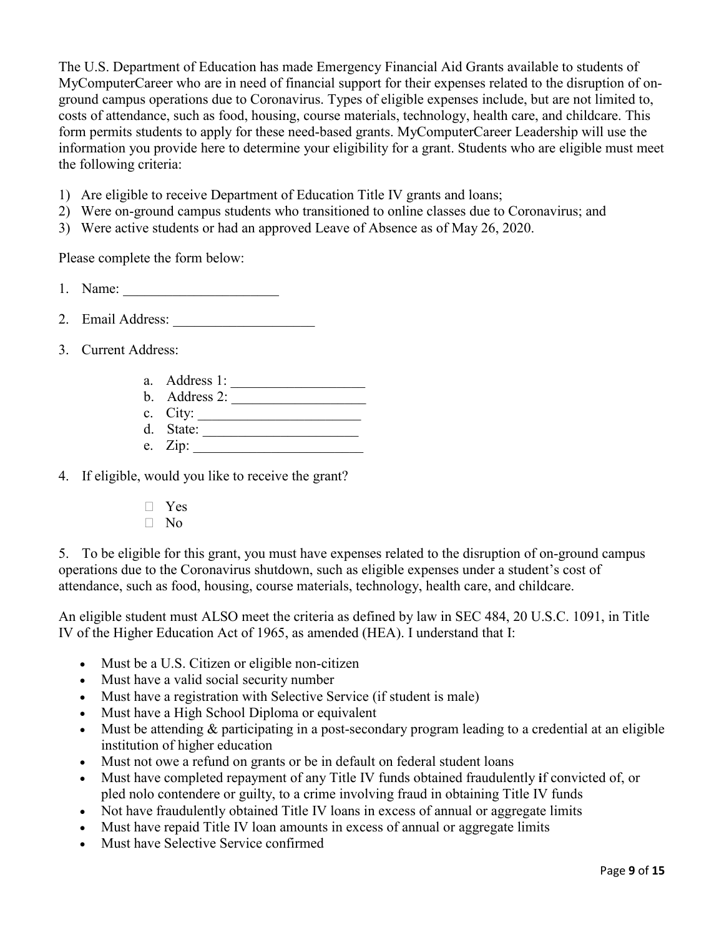The U.S. Department of Education has made Emergency Financial Aid Grants available to students of MyComputerCareer who are in need of financial support for their expenses related to the disruption of onground campus operations due to Coronavirus. Types of eligible expenses include, but are not limited to, costs of attendance, such as food, housing, course materials, technology, health care, and childcare. This form permits students to apply for these need-based grants. MyComputerCareer Leadership will use the information you provide here to determine your eligibility for a grant. Students who are eligible must meet the following criteria:

- 1) Are eligible to receive Department of Education Title IV grants and loans;
- 2) Were on-ground campus students who transitioned to online classes due to Coronavirus; and
- 3) Were active students or had an approved Leave of Absence as of May 26, 2020.

Please complete the form below:

- 1. Name: \_\_\_\_\_\_\_\_\_\_\_\_\_\_\_\_\_\_\_\_\_\_
- 2. Email Address:
- 3. Current Address:
	- a. Address 1: \_\_\_\_\_\_\_\_\_\_\_\_\_\_\_\_\_\_\_
	- b. Address 2:
	- c. City: \_\_\_\_\_\_\_\_\_\_\_\_\_\_\_\_\_\_\_\_\_\_\_ d. State:
	- e. Zip: \_\_\_\_\_\_\_\_\_\_\_\_\_\_\_\_\_\_\_\_\_\_\_\_

4. If eligible, would you like to receive the grant?

- $\neg$  Yes
- $\Box$  No

5. To be eligible for this grant, you must have expenses related to the disruption of on-ground campus operations due to the Coronavirus shutdown, such as eligible expenses under a student's cost of attendance, such as food, housing, course materials, technology, health care, and childcare.

An eligible student must ALSO meet the criteria as defined by law in SEC 484, 20 U.S.C. 1091, in Title IV of the Higher Education Act of 1965, as amended (HEA). I understand that I:

- Must be a U.S. Citizen or eligible non-citizen
- Must have a valid social security number
- Must have a registration with Selective Service (if student is male)
- Must have a High School Diploma or equivalent
- Must be attending & participating in a post-secondary program leading to a credential at an eligible institution of higher education
- Must not owe a refund on grants or be in default on federal student loans
- Must have completed repayment of any Title IV funds obtained fraudulently **i**f convicted of, or pled nolo contendere or guilty, to a crime involving fraud in obtaining Title IV funds
- Not have fraudulently obtained Title IV loans in excess of annual or aggregate limits
- Must have repaid Title IV loan amounts in excess of annual or aggregate limits
- Must have Selective Service confirmed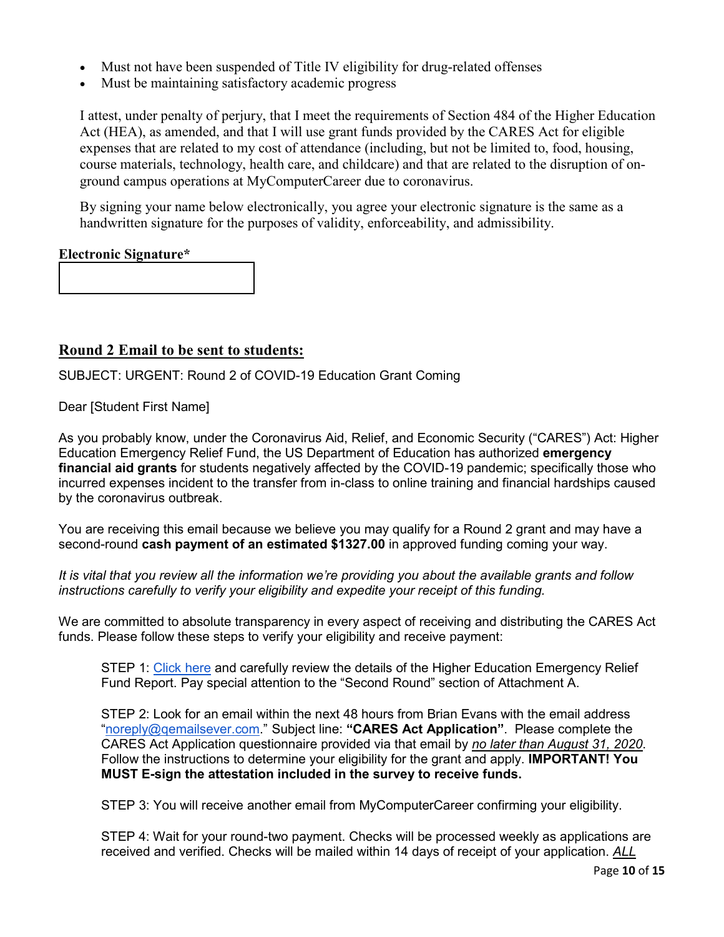- Must not have been suspended of Title IV eligibility for drug-related offenses
- Must be maintaining satisfactory academic progress

I attest, under penalty of perjury, that I meet the requirements of Section 484 of the Higher Education Act (HEA), as amended, and that I will use grant funds provided by the CARES Act for eligible expenses that are related to my cost of attendance (including, but not be limited to, food, housing, course materials, technology, health care, and childcare) and that are related to the disruption of onground campus operations at MyComputerCareer due to coronavirus.

By signing your name below electronically, you agree your electronic signature is the same as a handwritten signature for the purposes of validity, enforceability, and admissibility.

## **Electronic Signature\***

## **Round 2 Email to be sent to students:**

SUBJECT: URGENT: Round 2 of COVID-19 Education Grant Coming

Dear [Student First Name]

As you probably know, under the Coronavirus Aid, Relief, and Economic Security ("CARES") Act: Higher Education Emergency Relief Fund, the US Department of Education has authorized **emergency financial aid grants** for students negatively affected by the COVID-19 pandemic; specifically those who incurred expenses incident to the transfer from in-class to online training and financial hardships caused by the coronavirus outbreak.

You are receiving this email because we believe you may qualify for a Round 2 grant and may have a second-round **cash payment of an estimated \$1327.00** in approved funding coming your way.

*It is vital that you review all the information we're providing you about the available grants and follow instructions carefully to verify your eligibility and expedite your receipt of this funding.*

We are committed to absolute transparency in every aspect of receiving and distributing the CARES Act funds. Please follow these steps to verify your eligibility and receive payment:

STEP 1: [Click here](https://www.mycomputercareer.edu/additional-disclosure-statements/) and carefully review the details of the Higher Education Emergency Relief Fund Report. Pay special attention to the "Second Round" section of Attachment A.

STEP 2: Look for an email within the next 48 hours from Brian Evans with the email address ["noreply@qemailsever.com.](mailto:noreply@qemailsever.com)" Subject line: **"CARES Act Application"**. Please complete the CARES Act Application questionnaire provided via that email by *no later than August 31, 2020*. Follow the instructions to determine your eligibility for the grant and apply. **IMPORTANT! You MUST E-sign the attestation included in the survey to receive funds.**

STEP 3: You will receive another email from MyComputerCareer confirming your eligibility.

STEP 4: Wait for your round-two payment. Checks will be processed weekly as applications are received and verified. Checks will be mailed within 14 days of receipt of your application. *ALL*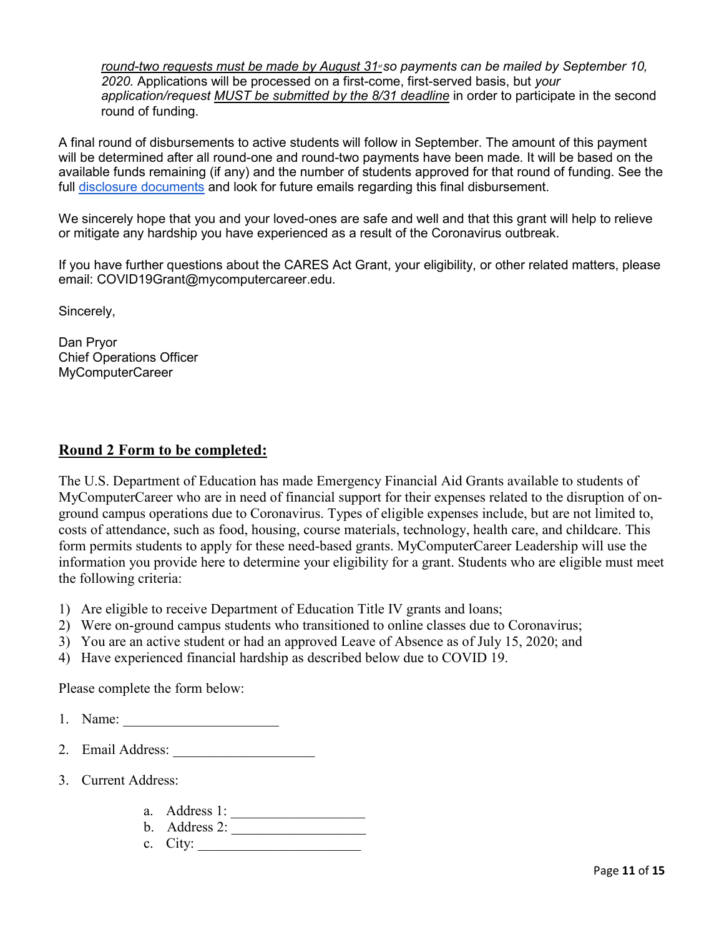*round-two requests must be made by August 31* so payments can be mailed by September 10, *2020.* Applications will be processed on a first-come, first-served basis, but *your application/request MUST be submitted by the 8/31 deadline* in order to participate in the second round of funding.

A final round of disbursements to active students will follow in September. The amount of this payment will be determined after all round-one and round-two payments have been made. It will be based on the available funds remaining (if any) and the number of students approved for that round of funding. See the full [disclosure documents](https://www.mycomputercareer.edu/additional-disclosure-statements/) and look for future emails regarding this final disbursement.

We sincerely hope that you and your loved-ones are safe and well and that this grant will help to relieve or mitigate any hardship you have experienced as a result of the Coronavirus outbreak.

If you have further questions about the CARES Act Grant, your eligibility, or other related matters, please email: COVID19Grant@mycomputercareer.edu.

Sincerely,

Dan Pryor Chief Operations Officer MyComputerCareer

## **Round 2 Form to be completed:**

The U.S. Department of Education has made Emergency Financial Aid Grants available to students of MyComputerCareer who are in need of financial support for their expenses related to the disruption of onground campus operations due to Coronavirus. Types of eligible expenses include, but are not limited to, costs of attendance, such as food, housing, course materials, technology, health care, and childcare. This form permits students to apply for these need-based grants. MyComputerCareer Leadership will use the information you provide here to determine your eligibility for a grant. Students who are eligible must meet the following criteria:

- 1) Are eligible to receive Department of Education Title IV grants and loans;
- 2) Were on-ground campus students who transitioned to online classes due to Coronavirus;
- 3) You are an active student or had an approved Leave of Absence as of July 15, 2020; and
- 4) Have experienced financial hardship as described below due to COVID 19.

Please complete the form below:

- 1. Name: \_\_\_\_\_\_\_\_\_\_\_\_\_\_\_\_\_\_\_\_\_\_
- 2. Email Address:
- 3. Current Address:
	- a. Address 1: \_\_\_\_\_\_\_\_\_\_\_\_\_\_\_\_\_\_\_
	- b. Address 2:
	- c. City: \_\_\_\_\_\_\_\_\_\_\_\_\_\_\_\_\_\_\_\_\_\_\_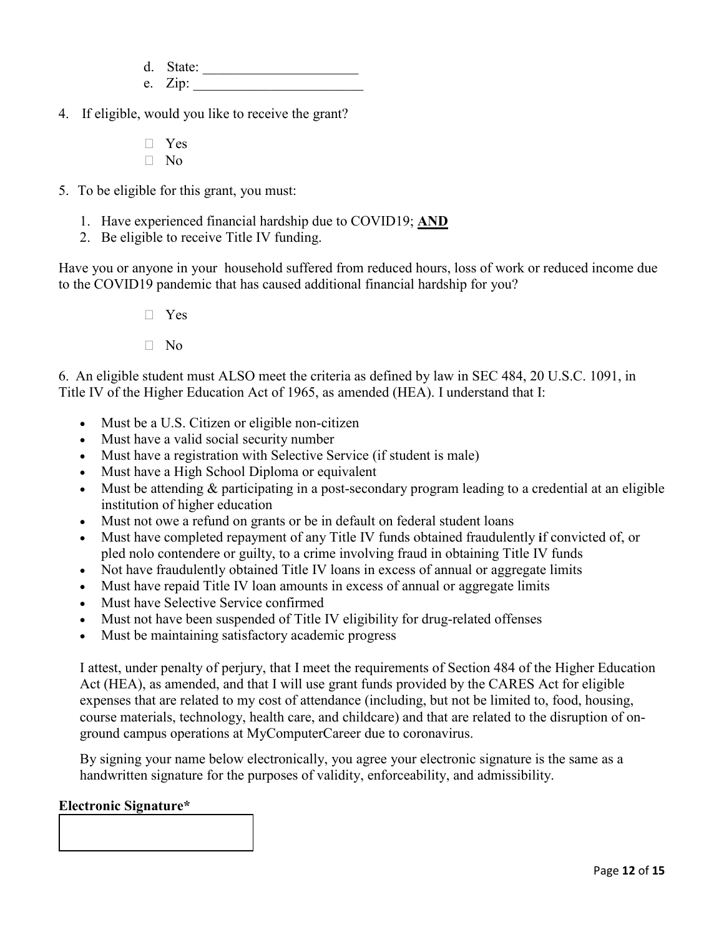d. State:

- e. Zip:
- 4. If eligible, would you like to receive the grant?
	- � Yes  $\neg$  No
- 5. To be eligible for this grant, you must:
	- 1. Have experienced financial hardship due to COVID19; **AND**
	- 2. Be eligible to receive Title IV funding.

Have you or anyone in your household suffered from reduced hours, loss of work or reduced income due to the COVID19 pandemic that has caused additional financial hardship for you?

- $\neg$  Yes
- � No

6. An eligible student must ALSO meet the criteria as defined by law in SEC 484, 20 U.S.C. 1091, in Title IV of the Higher Education Act of 1965, as amended (HEA). I understand that I:

- Must be a U.S. Citizen or eligible non-citizen
- Must have a valid social security number
- Must have a registration with Selective Service (if student is male)
- Must have a High School Diploma or equivalent
- Must be attending & participating in a post-secondary program leading to a credential at an eligible institution of higher education
- Must not owe a refund on grants or be in default on federal student loans
- Must have completed repayment of any Title IV funds obtained fraudulently **i**f convicted of, or pled nolo contendere or guilty, to a crime involving fraud in obtaining Title IV funds
- Not have fraudulently obtained Title IV loans in excess of annual or aggregate limits
- Must have repaid Title IV loan amounts in excess of annual or aggregate limits
- Must have Selective Service confirmed
- Must not have been suspended of Title IV eligibility for drug-related offenses
- Must be maintaining satisfactory academic progress

I attest, under penalty of perjury, that I meet the requirements of Section 484 of the Higher Education Act (HEA), as amended, and that I will use grant funds provided by the CARES Act for eligible expenses that are related to my cost of attendance (including, but not be limited to, food, housing, course materials, technology, health care, and childcare) and that are related to the disruption of onground campus operations at MyComputerCareer due to coronavirus.

By signing your name below electronically, you agree your electronic signature is the same as a handwritten signature for the purposes of validity, enforceability, and admissibility.

### **Electronic Signature\***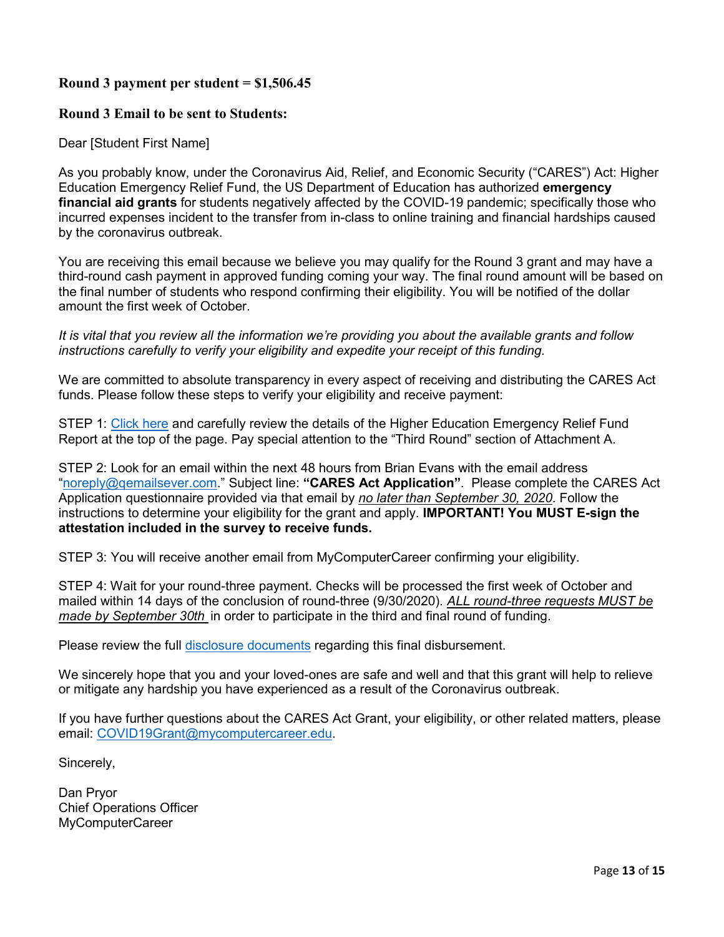## **Round 3 payment per student = \$1,506.45**

## **Round 3 Email to be sent to Students:**

### Dear [Student First Name]

As you probably know, under the Coronavirus Aid, Relief, and Economic Security ("CARES") Act: Higher Education Emergency Relief Fund, the US Department of Education has authorized **emergency financial aid grants** for students negatively affected by the COVID-19 pandemic; specifically those who incurred expenses incident to the transfer from in-class to online training and financial hardships caused by the coronavirus outbreak.

You are receiving this email because we believe you may qualify for the Round 3 grant and may have a third-round cash payment in approved funding coming your way. The final round amount will be based on the final number of students who respond confirming their eligibility. You will be notified of the dollar amount the first week of October.

*It is vital that you review all the information we're providing you about the available grants and follow instructions carefully to verify your eligibility and expedite your receipt of this funding.*

We are committed to absolute transparency in every aspect of receiving and distributing the CARES Act funds. Please follow these steps to verify your eligibility and receive payment:

STEP 1: [Click here](https://www.mycomputercareer.edu/additional-disclosure-statements/) and carefully review the details of the Higher Education Emergency Relief Fund Report at the top of the page. Pay special attention to the "Third Round" section of Attachment A.

STEP 2: Look for an email within the next 48 hours from Brian Evans with the email address ["noreply@qemailsever.com.](mailto:noreply@qemailsever.com)" Subject line: **"CARES Act Application"**. Please complete the CARES Act Application questionnaire provided via that email by *no later than September 30, 2020*. Follow the instructions to determine your eligibility for the grant and apply. **IMPORTANT! You MUST E-sign the attestation included in the survey to receive funds.**

STEP 3: You will receive another email from MyComputerCareer confirming your eligibility.

STEP 4: Wait for your round-three payment. Checks will be processed the first week of October and mailed within 14 days of the conclusion of round-three (9/30/2020). *ALL round-three requests MUST be made by September 30th* in order to participate in the third and final round of funding.

Please review the full [disclosure documents](https://www.mycomputercareer.edu/additional-disclosure-statements/) regarding this final disbursement.

We sincerely hope that you and your loved-ones are safe and well and that this grant will help to relieve or mitigate any hardship you have experienced as a result of the Coronavirus outbreak.

If you have further questions about the CARES Act Grant, your eligibility, or other related matters, please email: [COVID19Grant@mycomputercareer.edu.](mailto:COVID19Grant@mycomputercareer.edu)

Sincerely,

Dan Pryor Chief Operations Officer MyComputerCareer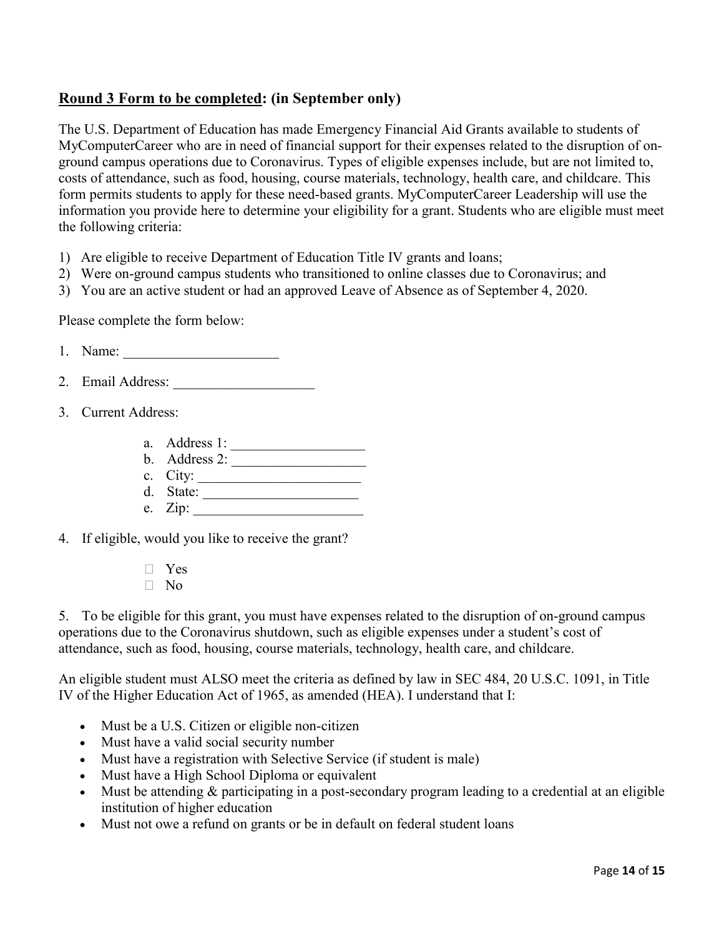# **Round 3 Form to be completed: (in September only)**

The U.S. Department of Education has made Emergency Financial Aid Grants available to students of MyComputerCareer who are in need of financial support for their expenses related to the disruption of onground campus operations due to Coronavirus. Types of eligible expenses include, but are not limited to, costs of attendance, such as food, housing, course materials, technology, health care, and childcare. This form permits students to apply for these need-based grants. MyComputerCareer Leadership will use the information you provide here to determine your eligibility for a grant. Students who are eligible must meet the following criteria:

- 1) Are eligible to receive Department of Education Title IV grants and loans;
- 2) Were on-ground campus students who transitioned to online classes due to Coronavirus; and
- 3) You are an active student or had an approved Leave of Absence as of September 4, 2020.

Please complete the form below:

1. Name: \_\_\_\_\_\_\_\_\_\_\_\_\_\_\_\_\_\_\_\_\_\_

- 2. Email Address:
- 3. Current Address:
	- a. Address 1: \_\_\_\_\_\_\_\_\_\_\_\_\_\_\_\_\_\_\_
	- b. Address 2: \_\_\_\_\_\_\_\_\_\_\_\_\_\_\_\_\_\_\_
	- c.  $City:$
	- d. State:
	- e.  $Zip:$
- 4. If eligible, would you like to receive the grant?
	- � Yes
	- $\neg$  No

5. To be eligible for this grant, you must have expenses related to the disruption of on-ground campus operations due to the Coronavirus shutdown, such as eligible expenses under a student's cost of attendance, such as food, housing, course materials, technology, health care, and childcare.

An eligible student must ALSO meet the criteria as defined by law in SEC 484, 20 U.S.C. 1091, in Title IV of the Higher Education Act of 1965, as amended (HEA). I understand that I:

- Must be a U.S. Citizen or eligible non-citizen
- Must have a valid social security number
- Must have a registration with Selective Service (if student is male)
- Must have a High School Diploma or equivalent
- Must be attending & participating in a post-secondary program leading to a credential at an eligible institution of higher education
- Must not owe a refund on grants or be in default on federal student loans